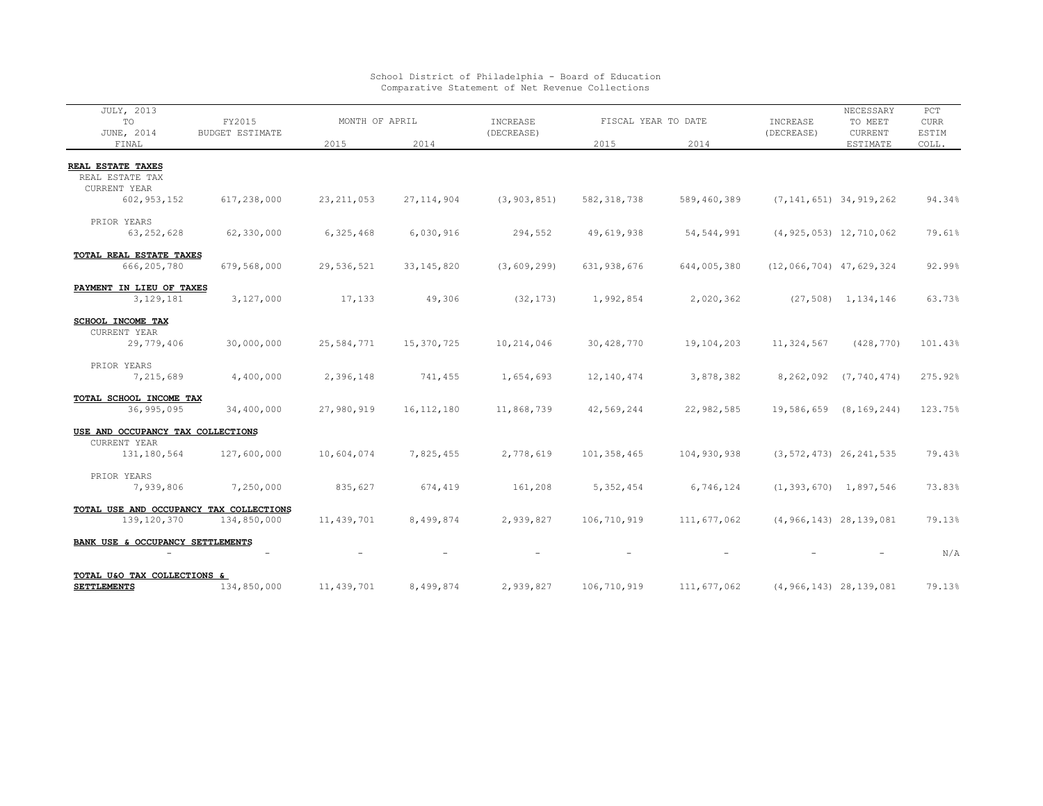| <b>JULY, 2013</b>                                 |                                  |                |              |                        |                     |              |                              | NECESSARY                    | PCT         |
|---------------------------------------------------|----------------------------------|----------------|--------------|------------------------|---------------------|--------------|------------------------------|------------------------------|-------------|
| TO                                                | FY2015<br><b>BUDGET ESTIMATE</b> | MONTH OF APRIL |              | INCREASE<br>(DECREASE) | FISCAL YEAR TO DATE |              | INCREASE<br>(DECREASE)       | TO MEET                      | <b>CURR</b> |
| JUNE, 2014                                        |                                  |                |              |                        |                     |              |                              | CURRENT                      | ESTIM       |
| FINAL                                             |                                  | 2015           | 2014         |                        | 2015                | 2014         |                              | ESTIMATE                     | COLL.       |
|                                                   |                                  |                |              |                        |                     |              |                              |                              |             |
| REAL ESTATE TAXES                                 |                                  |                |              |                        |                     |              |                              |                              |             |
| REAL ESTATE TAX                                   |                                  |                |              |                        |                     |              |                              |                              |             |
| CURRENT YEAR                                      |                                  |                |              |                        |                     |              |                              |                              |             |
| 602, 953, 152                                     | 617,238,000                      | 23, 211, 053   | 27, 114, 904 | (3, 903, 851)          | 582, 318, 738       | 589,460,389  |                              | $(7, 141, 651)$ 34, 919, 262 | 94.34%      |
|                                                   |                                  |                |              |                        |                     |              |                              |                              |             |
| PRIOR YEARS                                       |                                  |                |              |                        |                     |              |                              |                              |             |
| 63, 252, 628                                      | 62,330,000                       | 6,325,468      | 6,030,916    | 294,552                | 49,619,938          | 54, 544, 991 | $(4, 925, 053)$ 12,710,062   |                              | 79.61%      |
|                                                   |                                  |                |              |                        |                     |              |                              |                              |             |
| TOTAL REAL ESTATE TAXES                           |                                  |                |              |                        |                     |              |                              |                              |             |
| 666, 205, 780                                     | 679,568,000                      | 29,536,521     | 33, 145, 820 | (3, 609, 299)          | 631,938,676         | 644,005,380  | $(12, 066, 704)$ 47,629,324  |                              | 92.99%      |
| PAYMENT IN LIEU OF TAXES                          |                                  |                |              |                        |                     |              |                              |                              |             |
| 3,129,181                                         | 3,127,000                        | 17,133         | 49,306       | (32, 173)              | 1,992,854           | 2,020,362    |                              | $(27, 508)$ 1, 134, 146      | 63.73%      |
|                                                   |                                  |                |              |                        |                     |              |                              |                              |             |
| <b>SCHOOL INCOME TAX</b>                          |                                  |                |              |                        |                     |              |                              |                              |             |
| CURRENT YEAR                                      |                                  |                |              |                        |                     |              |                              |                              |             |
| 29,779,406                                        | 30,000,000                       | 25,584,771     | 15,370,725   | 10,214,046             | 30,428,770          | 19,104,203   | 11,324,567                   | (428, 770)                   | 101.43%     |
|                                                   |                                  |                |              |                        |                     |              |                              |                              |             |
| PRIOR YEARS                                       |                                  |                |              |                        |                     |              |                              |                              |             |
| 7,215,689                                         | 4,400,000                        | 2,396,148      | 741,455      | 1,654,693              | 12,140,474          | 3,878,382    | 8,262,092                    | (7, 740, 474)                | 275.92%     |
|                                                   |                                  |                |              |                        |                     |              |                              |                              |             |
| TOTAL SCHOOL INCOME TAX                           |                                  |                |              |                        |                     |              |                              |                              |             |
| 36,995,095                                        | 34,400,000                       | 27,980,919     | 16, 112, 180 | 11,868,739             | 42,569,244          | 22,982,585   | 19,586,659                   | (8, 169, 244)                | 123.75%     |
|                                                   |                                  |                |              |                        |                     |              |                              |                              |             |
| USE AND OCCUPANCY TAX COLLECTIONS<br>CURRENT YEAR |                                  |                |              |                        |                     |              |                              |                              |             |
| 131, 180, 564                                     | 127,600,000                      | 10,604,074     | 7,825,455    | 2,778,619              | 101,358,465         | 104,930,938  |                              | $(3, 572, 473)$ 26, 241, 535 | 79.43%      |
|                                                   |                                  |                |              |                        |                     |              |                              |                              |             |
| PRIOR YEARS                                       |                                  |                |              |                        |                     |              |                              |                              |             |
| 7,939,806                                         | 7,250,000                        | 835,627        | 674,419      | 161,208                | 5, 352, 454         | 6,746,124    |                              | $(1, 393, 670)$ 1,897,546    | 73.83%      |
|                                                   |                                  |                |              |                        |                     |              |                              |                              |             |
| TOTAL USE AND OCCUPANCY TAX COLLECTIONS           |                                  |                |              |                        |                     |              |                              |                              |             |
| 139, 120, 370                                     | 134,850,000                      | 11, 439, 701   | 8,499,874    | 2,939,827              | 106,710,919         | 111,677,062  |                              | $(4, 966, 143)$ 28, 139, 081 | 79.13%      |
|                                                   |                                  |                |              |                        |                     |              |                              |                              |             |
| BANK USE & OCCUPANCY SETTLEMENTS                  |                                  |                |              |                        |                     |              |                              |                              |             |
|                                                   |                                  |                |              |                        |                     |              |                              |                              | N/A         |
|                                                   |                                  |                |              |                        |                     |              |                              |                              |             |
| TOTAL U&O TAX COLLECTIONS &                       |                                  |                |              |                        |                     |              |                              |                              |             |
| <b>SETTLEMENTS</b>                                | 134,850,000                      | 11, 439, 701   | 8,499,874    | 2,939,827              | 106,710,919         | 111,677,062  | $(4, 966, 143)$ 28, 139, 081 |                              | 79.13%      |

## School District of Philadelphia - Board of Education Comparative Statement of Net Revenue Collections